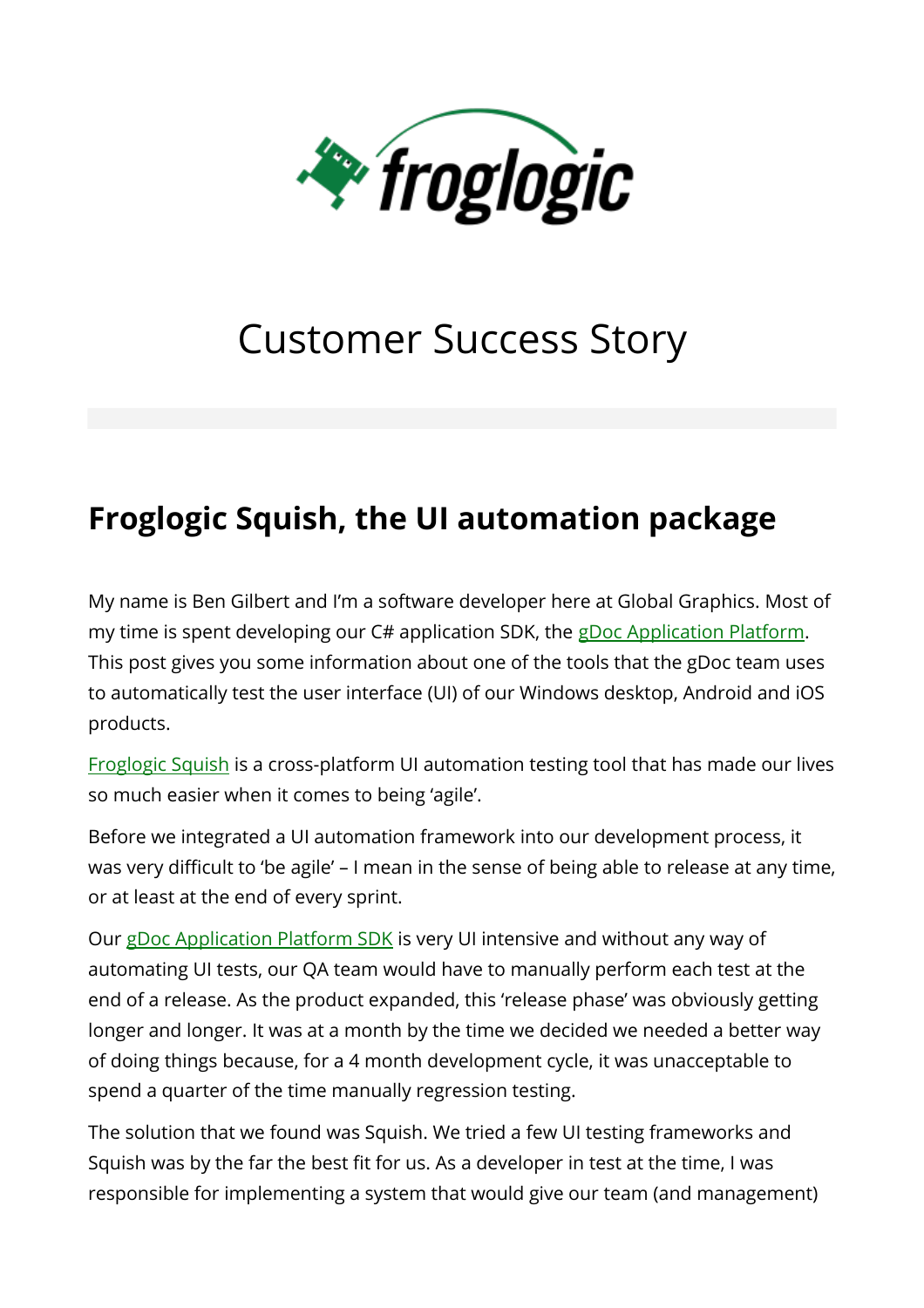

# Customer Success Story

## **Froglogic Squish, the UI automation package**

My name is Ben Gilbert and I'm a software developer here at Global Graphics. Most of my time is spent developing our C# application SDK, the [gDoc Application Platform.](http://www.gdoc.com/technology/platform/) This post gives you some information about one of the tools that the gDoc team uses to automatically test the user interface (UI) of our Windows desktop, Android and iOS products.

[Froglogic Squish](http://www.froglogic.com/squish/gui-testing/) is a cross-platform UI automation testing tool that has made our lives so much easier when it comes to being 'agile'.

Before we integrated a UI automation framework into our development process, it was very difficult to 'be agile' – I mean in the sense of being able to release at any time, or at least at the end of every sprint.

Our [gDoc Application Platform SDK](http://www.gdoc.com/technology/platform/) is very UI intensive and without any way of automating UI tests, our QA team would have to manually perform each test at the end of a release. As the product expanded, this 'release phase' was obviously getting longer and longer. It was at a month by the time we decided we needed a better way of doing things because, for a 4 month development cycle, it was unacceptable to spend a quarter of the time manually regression testing.

The solution that we found was Squish. We tried a few UI testing frameworks and Squish was by the far the best fit for us. As a developer in test at the time, I was responsible for implementing a system that would give our team (and management)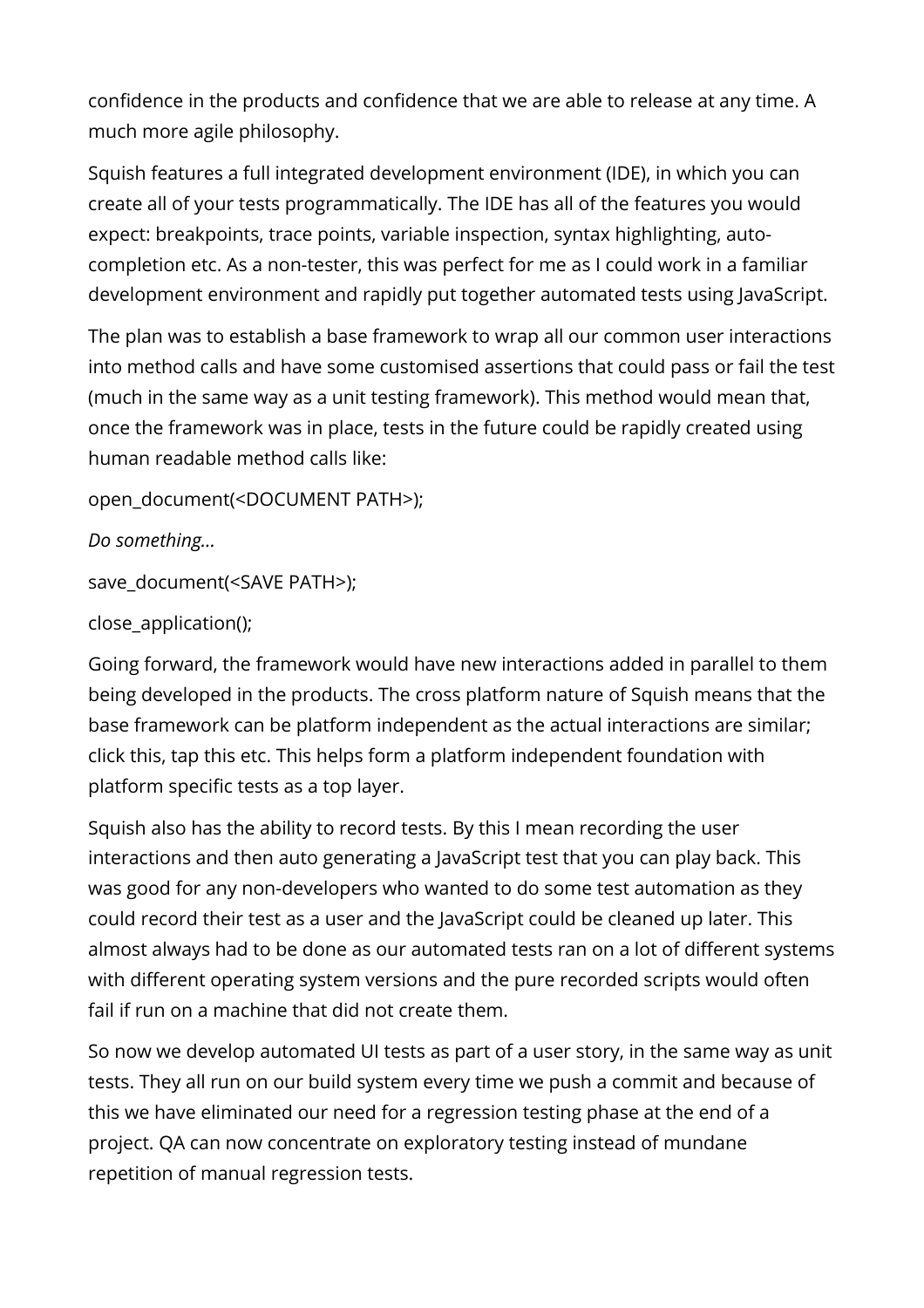confidence in the products and confidence that we are able to release at any time. A much more agile philosophy.

Squish features a full integrated development environment (IDE), in which you can create all of your tests programmatically. The IDE has all of the features you would expect: breakpoints, trace points, variable inspection, syntax highlighting, autocompletion etc. As a non-tester, this was perfect for me as I could work in a familiar development environment and rapidly put together automated tests using JavaScript.

The plan was to establish a base framework to wrap all our common user interactions into method calls and have some customised assertions that could pass or fail the test (much in the same way as a unit testing framework). This method would mean that, once the framework was in place, tests in the future could be rapidly created using human readable method calls like:

open\_document(<DOCUMENT PATH>);

*Do something…*

save\_document(<SAVE PATH>);

close\_application();

Going forward, the framework would have new interactions added in parallel to them being developed in the products. The cross platform nature of Squish means that the base framework can be platform independent as the actual interactions are similar; click this, tap this etc. This helps form a platform independent foundation with platform specific tests as a top layer.

Squish also has the ability to record tests. By this I mean recording the user interactions and then auto generating a JavaScript test that you can play back. This was good for any non-developers who wanted to do some test automation as they could record their test as a user and the JavaScript could be cleaned up later. This almost always had to be done as our automated tests ran on a lot of different systems with different operating system versions and the pure recorded scripts would often fail if run on a machine that did not create them.

So now we develop automated UI tests as part of a user story, in the same way as unit tests. They all run on our build system every time we push a commit and because of this we have eliminated our need for a regression testing phase at the end of a project. QA can now concentrate on exploratory testing instead of mundane repetition of manual regression tests.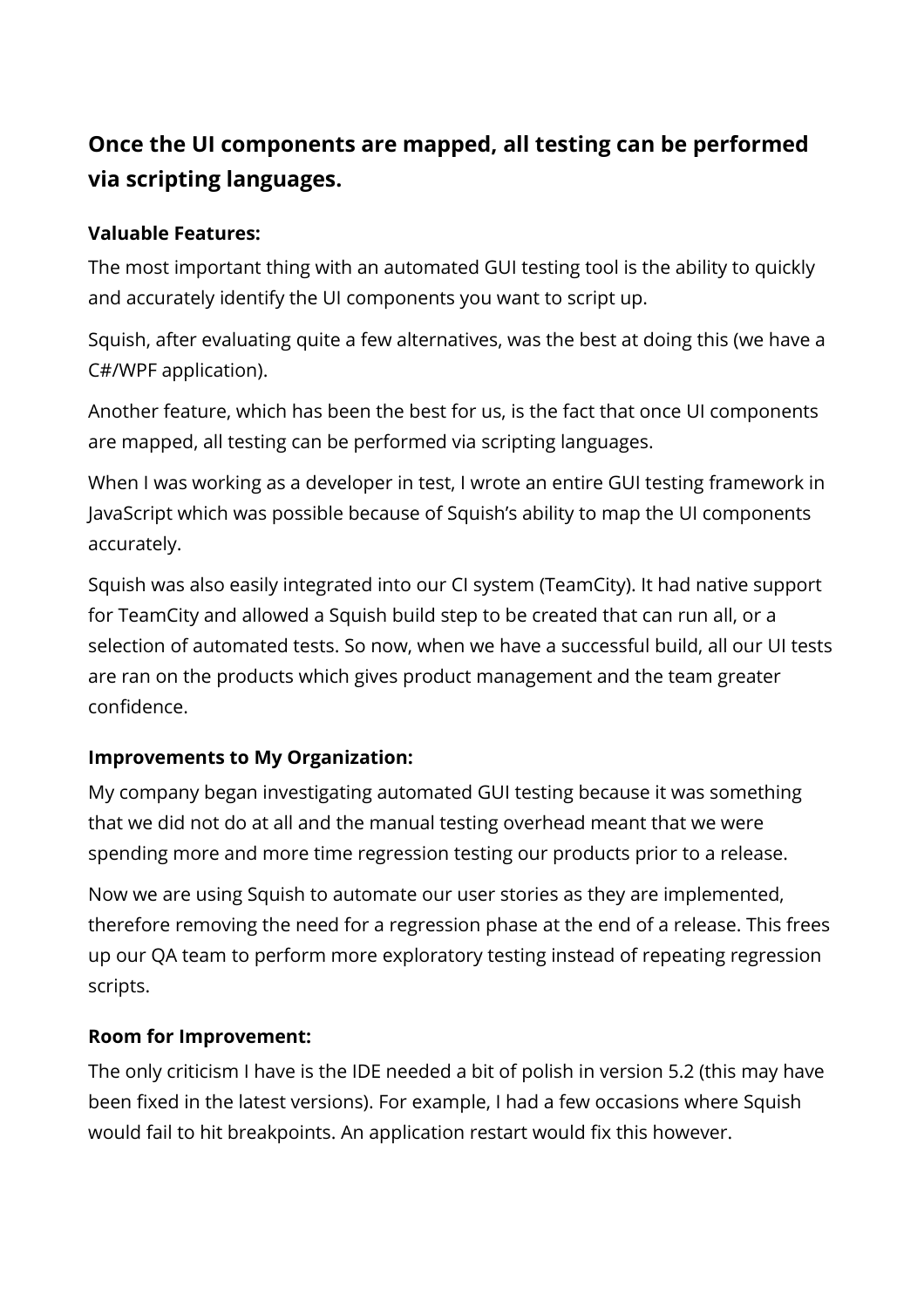### **Once the UI components are mapped, all testing can be performed via scripting languages.**

#### **Valuable Features:**

The most important thing with an automated GUI testing tool is the ability to quickly and accurately identify the UI components you want to script up.

Squish, after evaluating quite a few alternatives, was the best at doing this (we have a C#/WPF application).

Another feature, which has been the best for us, is the fact that once UI components are mapped, all testing can be performed via scripting languages.

When I was working as a developer in test, I wrote an entire GUI testing framework in JavaScript which was possible because of Squish's ability to map the UI components accurately.

Squish was also easily integrated into our CI system (TeamCity). It had native support for TeamCity and allowed a Squish build step to be created that can run all, or a selection of automated tests. So now, when we have a successful build, all our UI tests are ran on the products which gives product management and the team greater confidence.

#### **Improvements to My Organization:**

My company began investigating automated GUI testing because it was something that we did not do at all and the manual testing overhead meant that we were spending more and more time regression testing our products prior to a release.

Now we are using Squish to automate our user stories as they are implemented, therefore removing the need for a regression phase at the end of a release. This frees up our QA team to perform more exploratory testing instead of repeating regression scripts.

#### **Room for Improvement:**

The only criticism I have is the IDE needed a bit of polish in version 5.2 (this may have been fixed in the latest versions). For example, I had a few occasions where Squish would fail to hit breakpoints. An application restart would fix this however.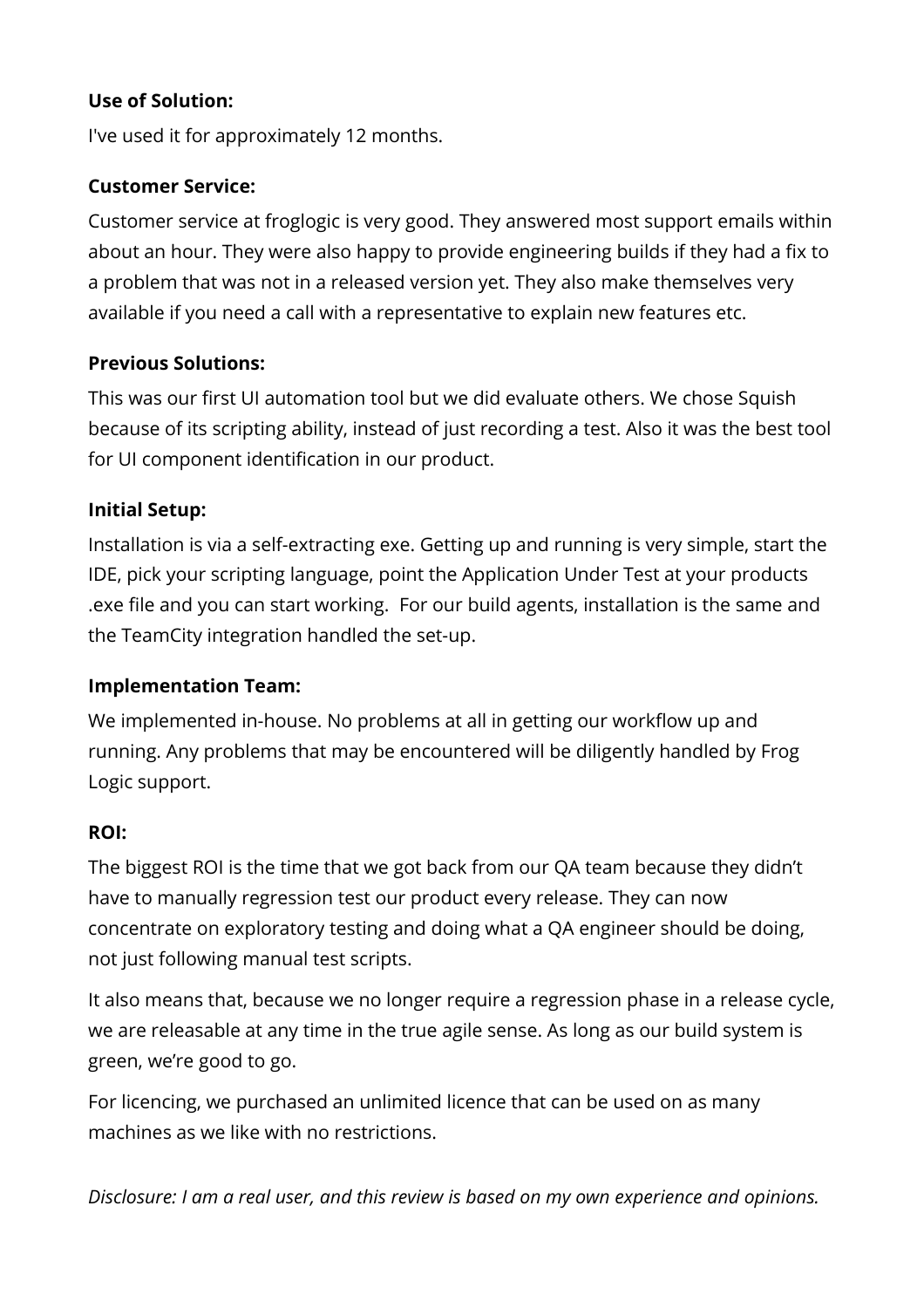#### **Use of Solution:**

I've used it for approximately 12 months.

#### **Customer Service:**

Customer service at froglogic is very good. They answered most support emails within about an hour. They were also happy to provide engineering builds if they had a fix to a problem that was not in a released version yet. They also make themselves very available if you need a call with a representative to explain new features etc.

#### **Previous Solutions:**

This was our first UI automation tool but we did evaluate others. We chose Squish because of its scripting ability, instead of just recording a test. Also it was the best tool for UI component identification in our product.

#### **Initial Setup:**

Installation is via a self-extracting exe. Getting up and running is very simple, start the IDE, pick your scripting language, point the Application Under Test at your products .exe file and you can start working. For our build agents, installation is the same and the TeamCity integration handled the set-up.

#### **Implementation Team:**

We implemented in-house. No problems at all in getting our workflow up and running. Any problems that may be encountered will be diligently handled by Frog Logic support.

#### **ROI:**

The biggest ROI is the time that we got back from our QA team because they didn't have to manually regression test our product every release. They can now concentrate on exploratory testing and doing what a QA engineer should be doing, not just following manual test scripts.

It also means that, because we no longer require a regression phase in a release cycle, we are releasable at any time in the true agile sense. As long as our build system is green, we're good to go.

For licencing, we purchased an unlimited licence that can be used on as many machines as we like with no restrictions.

*Disclosure: I am a real user, and this review is based on my own experience and opinions.*